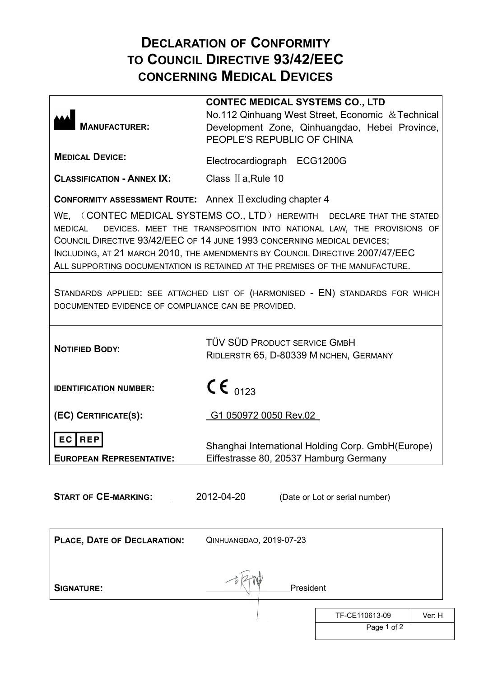## **DECLARATION OF CONFORMITY TO COUNCIL DIRECTIVE 93/42/EEC CONCERNING MEDICAL DEVICES**

| <b>MANUFACTURER:</b>                                             | <b>CONTEC MEDICAL SYSTEMS CO., LTD</b><br>No.112 Qinhuang West Street, Economic & Technical<br>Development Zone, Qinhuangdao, Hebei Province,<br>PEOPLE'S REPUBLIC OF CHINA                                                                                                                                                                                                               |
|------------------------------------------------------------------|-------------------------------------------------------------------------------------------------------------------------------------------------------------------------------------------------------------------------------------------------------------------------------------------------------------------------------------------------------------------------------------------|
| <b>MEDICAL DEVICE:</b>                                           | Electrocardiograph ECG1200G                                                                                                                                                                                                                                                                                                                                                               |
| <b>CLASSIFICATION - ANNEX IX:</b>                                | Class II a, Rule 10                                                                                                                                                                                                                                                                                                                                                                       |
| <b>CONFORMITY ASSESSMENT ROUTE:</b> Annex II excluding chapter 4 |                                                                                                                                                                                                                                                                                                                                                                                           |
| <b>MEDICAL</b>                                                   | WE, (CONTEC MEDICAL SYSTEMS CO., LTD) HEREWITH DECLARE THAT THE STATED<br>DEVICES. MEET THE TRANSPOSITION INTO NATIONAL LAW, THE PROVISIONS OF<br>COUNCIL DIRECTIVE 93/42/EEC OF 14 JUNE 1993 CONCERNING MEDICAL DEVICES;<br>INCLUDING, AT 21 MARCH 2010, THE AMENDMENTS BY COUNCIL DIRECTIVE 2007/47/EEC<br>ALL SUPPORTING DOCUMENTATION IS RETAINED AT THE PREMISES OF THE MANUFACTURE. |
| DOCUMENTED EVIDENCE OF COMPLIANCE CAN BE PROVIDED.               | STANDARDS APPLIED: SEE ATTACHED LIST OF (HARMONISED - EN) STANDARDS FOR WHICH                                                                                                                                                                                                                                                                                                             |
| <b>NOTIFIED BODY:</b>                                            | TÜV SÜD PRODUCT SERVICE GMBH<br>RIDLERSTR 65, D-80339 M NCHEN, GERMANY                                                                                                                                                                                                                                                                                                                    |
| <b>IDENTIFICATION NUMBER:</b>                                    | $CE_{0123}$                                                                                                                                                                                                                                                                                                                                                                               |
| (EC) CERTIFICATE(S):                                             | G1 050972 0050 Rev.02                                                                                                                                                                                                                                                                                                                                                                     |
| <b>REP</b><br>ЕC.<br><b>EUROPEAN REPRESENTATIVE:</b>             | Shanghai International Holding Corp. GmbH(Europe)<br>Eiffestrasse 80, 20537 Hamburg Germany                                                                                                                                                                                                                                                                                               |
| <b>START OF CE-MARKING:</b>                                      | 2012-04-20<br>(Date or Lot or serial number)                                                                                                                                                                                                                                                                                                                                              |
| PLACE, DATE OF DECLARATION:                                      | QINHUANGDAO, 2019-07-23                                                                                                                                                                                                                                                                                                                                                                   |
| <b>SIGNATURE:</b>                                                | President                                                                                                                                                                                                                                                                                                                                                                                 |
|                                                                  | TF-CE110613-09<br>Ver: H                                                                                                                                                                                                                                                                                                                                                                  |
|                                                                  | Page 1 of 2                                                                                                                                                                                                                                                                                                                                                                               |